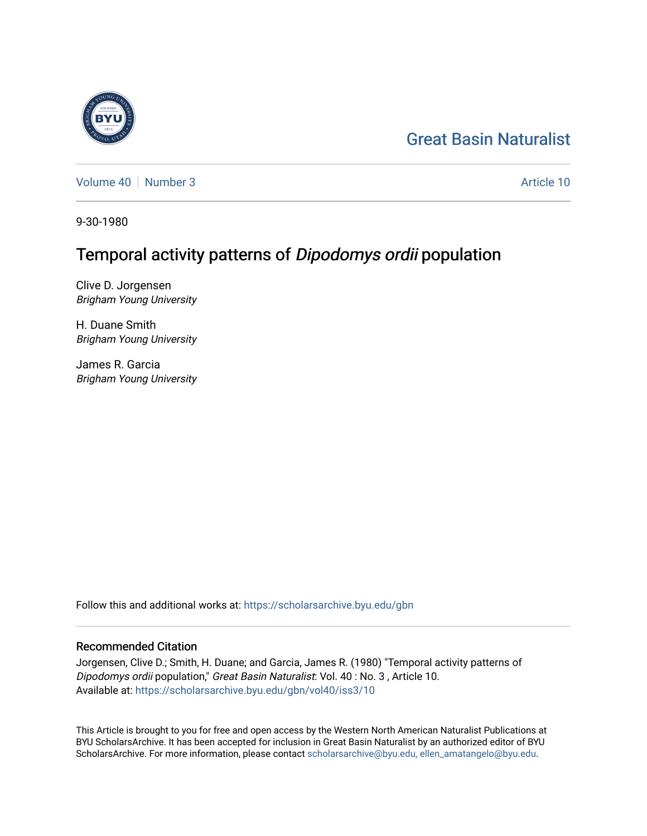## [Great Basin Naturalist](https://scholarsarchive.byu.edu/gbn)

[Volume 40](https://scholarsarchive.byu.edu/gbn/vol40) [Number 3](https://scholarsarchive.byu.edu/gbn/vol40/iss3) Article 10

9-30-1980

# Temporal activity patterns of Dipodomys ordii population

Clive D. Jorgensen Brigham Young University

H. Duane Smith Brigham Young University

James R. Garcia Brigham Young University

Follow this and additional works at: [https://scholarsarchive.byu.edu/gbn](https://scholarsarchive.byu.edu/gbn?utm_source=scholarsarchive.byu.edu%2Fgbn%2Fvol40%2Fiss3%2F10&utm_medium=PDF&utm_campaign=PDFCoverPages) 

## Recommended Citation

Jorgensen, Clive D.; Smith, H. Duane; and Garcia, James R. (1980) "Temporal activity patterns of Dipodomys ordii population," Great Basin Naturalist: Vol. 40 : No. 3 , Article 10. Available at: [https://scholarsarchive.byu.edu/gbn/vol40/iss3/10](https://scholarsarchive.byu.edu/gbn/vol40/iss3/10?utm_source=scholarsarchive.byu.edu%2Fgbn%2Fvol40%2Fiss3%2F10&utm_medium=PDF&utm_campaign=PDFCoverPages) 

This Article is brought to you for free and open access by the Western North American Naturalist Publications at BYU ScholarsArchive. It has been accepted for inclusion in Great Basin Naturalist by an authorized editor of BYU ScholarsArchive. For more information, please contact [scholarsarchive@byu.edu, ellen\\_amatangelo@byu.edu.](mailto:scholarsarchive@byu.edu,%20ellen_amatangelo@byu.edu)

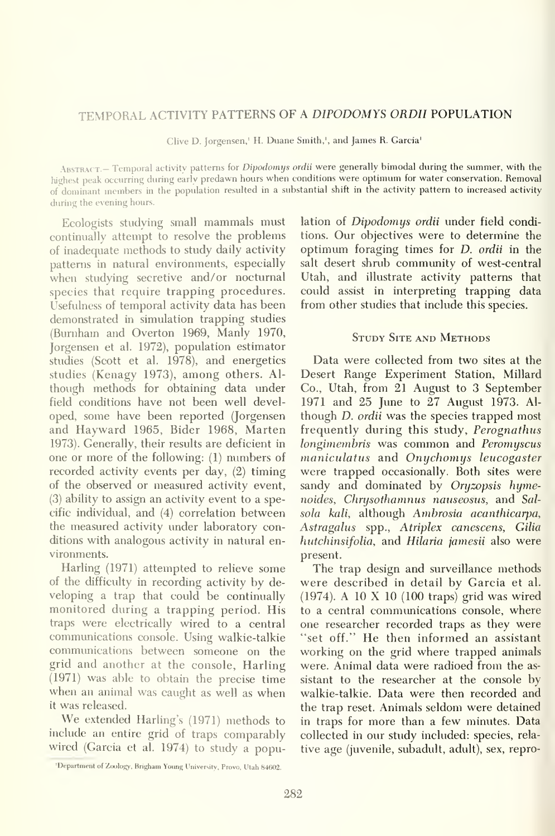### TEMPORAL ACTIVITY PATTERNS OF A DIPODOMYS ORDII POPULATION

Clive D. Jorgensen,<sup>1</sup> H. Duane Smith,<sup>1</sup>, and James R. Garcia<sup>1</sup>

ABSTRACT.- Temporal activity patterns for Dipodomys ordii were generally bimodal during the summer, with the highest peak occurring during early predawn hours when conditions were optimum for water conservation. Removal of dominant members in the population resulted in a substantial shift in the activity pattern to increased activity during the evening hours.

Ecologists studying small mammals must contimially attempt to resolve the problems of inadequate methods to study daily activity patterns in natural environments, especially when studying secretive and/or nocturnal species that require trapping procedures. Usefulness of temporal activity data has been demonstrated in simulation trapping studies (Burnham and Overton 1969, Manly 1970, Jorgensen et al. 1972), population estimator studies (Scott et al. 1978), and energetics studies (Kenagy 1973), among others. Al though methods for obtaining data under field conditions have not been well devel oped, some have been reported (Jorgensen and Hayward 1965, Eider 1968, Marten 1973). Generally, their results are deficient in one or more of the following: (1) numbers of recorded activity events per day, (2) timing of the observed or measured activity event, (3) ability to assign an activity event to a specific individual, and (4) correlation between the measured activity under laboratory conditions with analogous activity in natural en vironments.

Harling (1971) attempted to relieve some of the difficulty in recording activity by de veloping a trap that could be continually monitored during a trapping period. His traps were electrically wired to a central communications console. Using walkie-talkie communications between someone on the grid and another at the console, Harling (1971) was able to obtain the precise time when an animal was caught as well as when it was released.

We extended Harling's (1971) methods to include an entire grid of traps comparably wired (Garcia et al. 1974) to study a population of *Dipodomys ordii* under field conditions. Our objectives were to determine the optimum foraging times for D. ordii in the salt desert shrub community of west-central Utah, and illustrate activity patterns that could assist in interpreting trapping data from other studies that include this species.

#### STUDY SITE AND METHODS

Data were collected from two sites at the Desert Range Experiment Station, Millard Co., Utah, from 21 August to 3 September 1971 and 25 June to 27 August 1973. Al though D. ordii was the species trapped most frequently during this study, Perognathus longimembris was common and Peromyscus maniculatus and Onychomys leucogaster were trapped occasionally. Both sites were sandy and dominated by Oryzopsis hymenoides, Chrysothamnus nauseosus, and Sal sola kali, although Ambrosia acanthicarpa, Astragalus spp., Atriplex canescens, Gilia hutchinsifolia, and Hilaria jamesii also were present.

The trap design and surveillance methods were described in detail by Garcia et al. (1974). A <sup>10</sup> X <sup>10</sup> (100 traps) grid was wired to a central communications console, where one researcher recorded traps as they were "set off." He then informed an assistant working on the grid where trapped animals were. Animal data were radioed from the as sistant to the researcher at the console by walkie-talkie. Data were then recorded and the trap reset. Animals seldom were detained in traps for more than a few minutes. Data collected in our study included: species, rela tive age (juvenile, subadult, adult), sex, repro-

<sup>&#</sup>x27;Department of Zoology. Brigham Voting University, Provo, Utah 84602.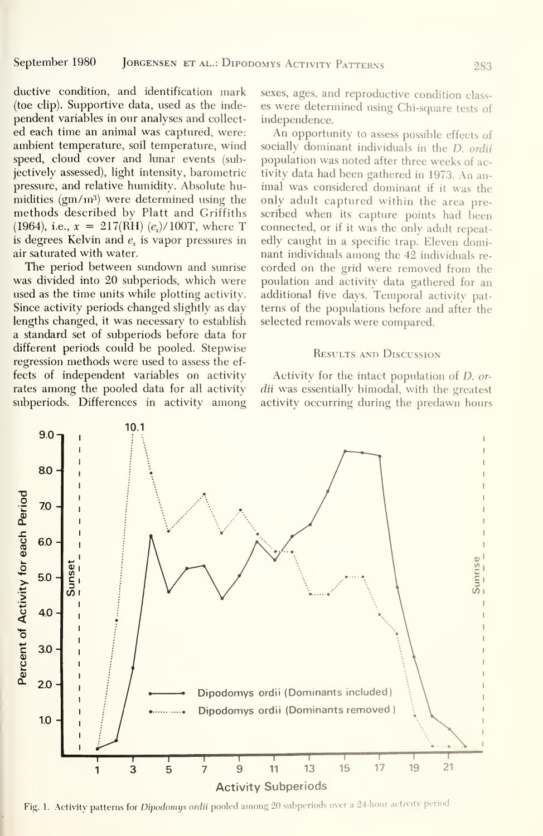ductive condition, and identification mark (toe clip). Supportive data, used as the inde pendent variables in our analyses and collect ed each time an animal was captured, were: ambient temperature, soil temperature, wind speed, cloud cover and lunar events (subjectively assessed), light intensity, barometric pressure, and relative humidity. Absolute humidities  $(gm/m^3)$  were determined using the methods described by Piatt and Griffiths (1964), i.e.,  $x = 217(RH)$  (e<sub>s</sub>)/100T, where T is degrees Kelvin and  $e_s$  is vapor pressures in air saturated with water.

The period between sundown and sunrise was divided into 20 subperiods, which were used as the time units while plotting activity. Since activity periods changed slightly as day lengths changed, it was necessary to establish a standard set of subperiods before data for different periods could be pooled. Stepwise regression methods were used to assess the ef fects of independent variables on activity rates among the pooled data for all activity subperiods. Differences in activity among sexes, ages, and reproductive condition class es were determined using Chi-square tests of independence.

An opportunity to assess possible effects of socially dominant individuals in the D. ordii population was noted after three weeks of activity data had been gathered in 1973. An an imal was considered dominant if it was the only adult captured within the area pre scribed when its capture points had been connected, or if it was the only adult repeatedly caught in a specific trap. Eleven dominant individuals among the 42 individuals re corded on the grid were removed from the poulation and activity data gathered for an additional five days. Temporal activitv pat terns of the populations before and after the selected removals were compared.

#### Results and Discussion

Activity for the intact population of D. ordii was essentially bimodal, with the greatest activity occurring during the predawn hours



Fig. 1. Activity patterns for Dipodomys ordii pooled among 20 subperiods over a 24-hour activity period.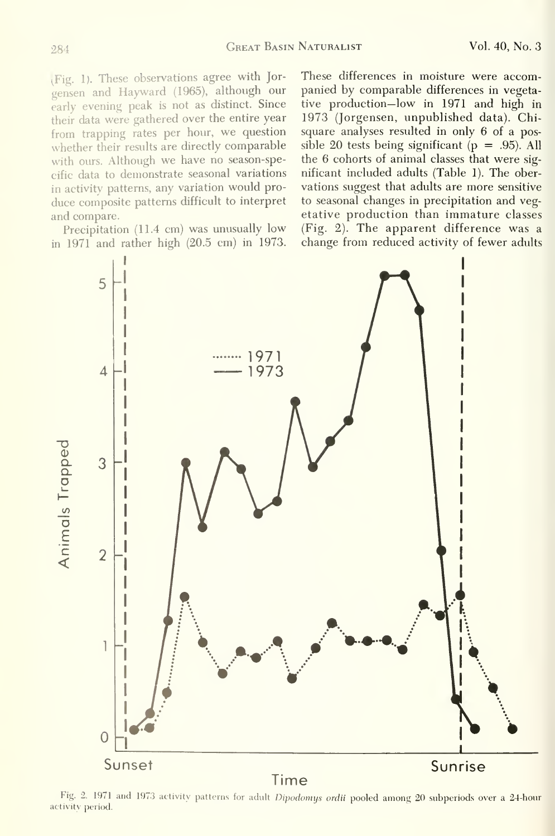(Fig. 1). These observations agree with Jor gensen and Hayward (1965), although our early evening peak is not as distinct. Since their data were gathered over the entire year from trapping rates per hour, we question whether their results are directly comparable with ours. Although we have no season-specific data to demonstrate seasonal variations in activity patterns, any variation would pro duce composite patterns difficult to interpret and compare.

Precipitation (11.4 cm) was unusually low in 1971 and rather high (20.5 cm) in 1973.

These differences in moisture were accompanied by comparable differences in vegetative production—low in 1971 and high in 1973 (Jorgensen, unpublished data). Chisquare analyses resulted in only 6 of a possible 20 tests being significant ( $p = .95$ ). All the 6 cohorts of animal classes that were sig nificant included adults (Table 1). The ober vations suggest that adults are more sensitive to seasonal changes in precipitation and veg etative production than immature classes (Fig. 2). The apparent difference was a change from reduced activity of fewer adults



Fig. 2. 1971 and 1973 activity patterns for adult Dipodomus ordii pooled among 20 subperiods over a 24-hour activity period.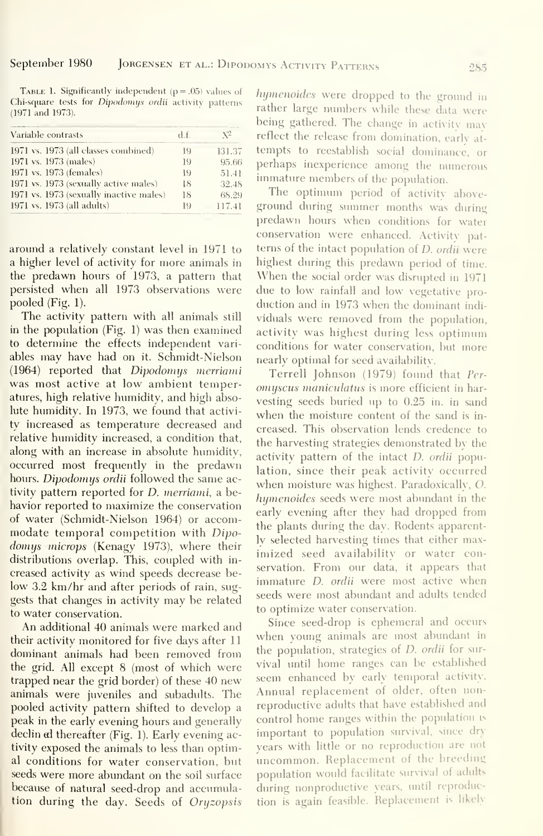**TABLE 1. Significantly independent**  $(p = .05)$  values of *hymenoides* were dropped to the ground in (1971 and 1973).

| Variable contrasts                      | d.f. | $\sqrt{2}$ |
|-----------------------------------------|------|------------|
| 1971 vs. 1973 (all classes combined)    | 19   | 131.37     |
| 1971 vs. 1973 (males)                   | 19   | 95.66      |
| 1971 vs. 1973 (females)                 | 19   | 51.41      |
| 1971 vs. 1973 (sexually active males)   | 18   | 32.48      |
| 1971 vs. 1973 (sexually inactive males) | 18   | 68.29      |
| 1971 vs. 1973 (all adults)              | 19   | 117.41     |

around a relatively constant level in 1971 to a higher level of activity for more animals in the predawn hours of 1973, a pattern that persisted when all 1973 observations were pooled  $(Fig. 1)$ .

The activity pattern with all animals still in the population (Fig. 1) was then examined to determine the effects independent variables may have had on it. Schmidt-Nielson (1964) reported that *Dipodomys merriami* was most active at low ambient temperatures, high relative humidity, and high absolute humidity. In 1973, we found that activity increased as temperature decreased and relative humidity increased, a condition that, along with an increase in absolute humidity, occurred most frequently in the predawn hours. Dipodomys ordii followed the same activity pattern reported for *D. merriami*, a behavior reported to maximize the conservation of water (Schmidt-Nielson 1964) or accommodate temporal competition with Dipo*domys microps* (Kenagy 1973), where their distributions overlap. This, coupled with increased activity as wind speeds decrease below 3.2 km/hr and after periods of rain, suggests that changes in activity may be related to water conservation.

An additional 40 animals were marked and their activity monitored for five days after 11 dominant animals had been removed from the grid. All except 8 (most of which were trapped near the grid border) of these 40 new animals were juveniles and subadults. The pooled activity pattern shifted to develop a peak in the early evening hours and generally declin ad thereafter (Fig. 1). Early evening activity exposed the animals to less than optimal conditions for water conservation, but seeds were more abundant on the soil surface because of natural seed-drop and accumulation during the day. Seeds of Oryzopsis

Chi-square tests for Dipodomys ordii activity patterns<br>
Tather large numbers while these data were being gathered. The change in activity may reflect the release from domination, early attempts to reestablish social dominance, or perhaps inexperience among the numerous immature members of the population.

The optimum period of activity aboveground during summer months was during predawn hours when conditions for water conservation were enhanced. Activity patterns of the intact population of *D. ordii* were highest during this predawn period of time. When the social order was disrupted in 1971 due to low rainfall and low vegetative production and in 1973 when the dominant individuals were removed from the population, activity was highest during less optimum conditions for water conservation, but more nearly optimal for seed availability.

Terrell Johnson (1979) found that Peromyscus maniculatus is more efficient in harvesting seeds buried up to 0.25 in. in sand when the moisture content of the sand is increased. This observation lends credence to the harvesting strategies demonstrated by the activity pattern of the intact *D. ordii* population, since their peak activity occurred when moisture was highest. Paradoxically, O. hymenoides seeds were most abundant in the early evening after they had dropped from the plants during the day. Rodents apparently selected harvesting times that either maximized seed availability or water conservation. From our data, it appears that immature *D.* ordii were most active when seeds were most abundant and adults tended to optimize water conservation.

Since seed-drop is ephemeral and occurs when young animals are most abundant in the population, strategies of *D. ordii* for survival until home ranges can be established seem enhanced by early temporal activity. Annual replacement of older, often nonreproductive adults that have established and control home ranges within the population is important to population survival, since dry years with little or no reproduction are not uncommon. Replacement of the breeding population would facilitate survival of adults during nonproductive years, until reproduction is again feasible. Replacement is likely